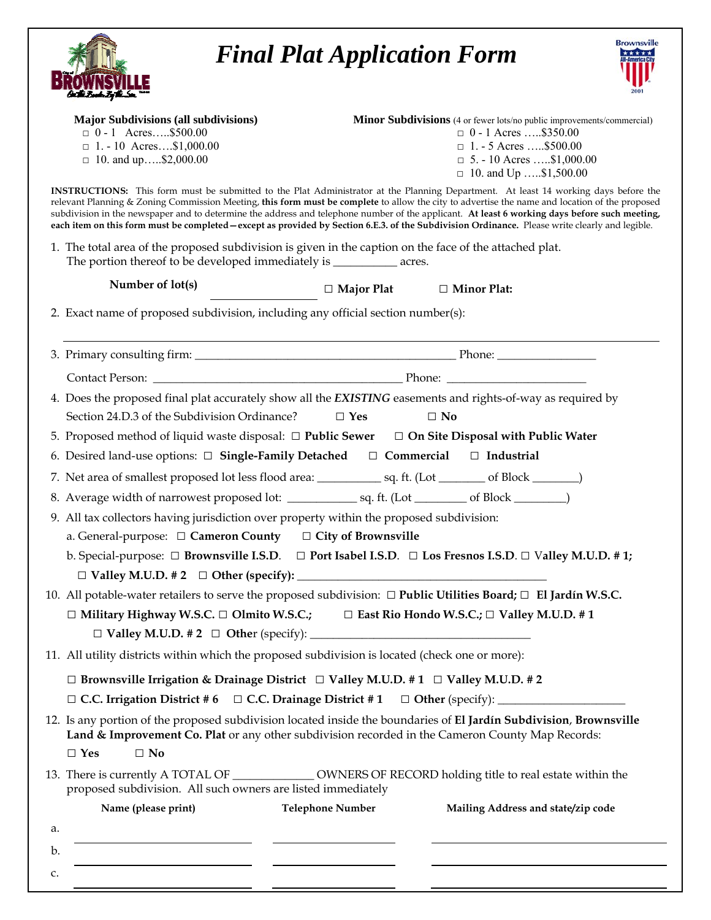|                                                                                                                                             | <b>Brownsville</b><br><b>Final Plat Application Form</b>                                                                                                                                                                                                                                                                                                                                                                                                                                                                                                                                  |  |
|---------------------------------------------------------------------------------------------------------------------------------------------|-------------------------------------------------------------------------------------------------------------------------------------------------------------------------------------------------------------------------------------------------------------------------------------------------------------------------------------------------------------------------------------------------------------------------------------------------------------------------------------------------------------------------------------------------------------------------------------------|--|
| <b>Major Subdivisions (all subdivisions)</b><br>$\Box$ 0 - 1 Acres\$500.00<br>$\Box$ 1. - 10 Acres\$1,000.00<br>$\Box$ 10. and up\$2,000.00 | Minor Subdivisions (4 or fewer lots/no public improvements/commercial)<br>$\Box$ 0 - 1 Acres \$350.00<br>$\Box$ 1. - 5 Acres \$500.00<br>$\Box$ 5. - 10 Acres \$1,000.00<br>$\Box$ 10. and Up \$1,500.00                                                                                                                                                                                                                                                                                                                                                                                  |  |
|                                                                                                                                             | INSTRUCTIONS: This form must be submitted to the Plat Administrator at the Planning Department. At least 14 working days before the<br>relevant Planning & Zoning Commission Meeting, this form must be complete to allow the city to advertise the name and location of the proposed<br>subdivision in the newspaper and to determine the address and telephone number of the applicant. At least 6 working days before such meeting,<br>each item on this form must be completed - except as provided by Section 6.E.3. of the Subdivision Ordinance. Please write clearly and legible. |  |
| The portion thereof to be developed immediately is ____________ acres.                                                                      | 1. The total area of the proposed subdivision is given in the caption on the face of the attached plat.                                                                                                                                                                                                                                                                                                                                                                                                                                                                                   |  |
| Number of lot(s)                                                                                                                            | $\Box$ Major Plat $\Box$ Minor Plat:                                                                                                                                                                                                                                                                                                                                                                                                                                                                                                                                                      |  |
| 2. Exact name of proposed subdivision, including any official section number(s):                                                            |                                                                                                                                                                                                                                                                                                                                                                                                                                                                                                                                                                                           |  |
|                                                                                                                                             |                                                                                                                                                                                                                                                                                                                                                                                                                                                                                                                                                                                           |  |
|                                                                                                                                             |                                                                                                                                                                                                                                                                                                                                                                                                                                                                                                                                                                                           |  |
|                                                                                                                                             |                                                                                                                                                                                                                                                                                                                                                                                                                                                                                                                                                                                           |  |
|                                                                                                                                             | 4. Does the proposed final plat accurately show all the EXISTING easements and rights-of-way as required by                                                                                                                                                                                                                                                                                                                                                                                                                                                                               |  |
| Section 24.D.3 of the Subdivision Ordinance?                                                                                                | $\square$ No<br>$\Box$ Yes                                                                                                                                                                                                                                                                                                                                                                                                                                                                                                                                                                |  |
|                                                                                                                                             | 5. Proposed method of liquid waste disposal: $\Box$ Public Sewer $\Box$ On Site Disposal with Public Water                                                                                                                                                                                                                                                                                                                                                                                                                                                                                |  |
| 6. Desired land-use options: □ Single-Family Detached □ Commercial □ Industrial                                                             |                                                                                                                                                                                                                                                                                                                                                                                                                                                                                                                                                                                           |  |
|                                                                                                                                             |                                                                                                                                                                                                                                                                                                                                                                                                                                                                                                                                                                                           |  |
|                                                                                                                                             |                                                                                                                                                                                                                                                                                                                                                                                                                                                                                                                                                                                           |  |
| 9. All tax collectors having jurisdiction over property within the proposed subdivision:                                                    |                                                                                                                                                                                                                                                                                                                                                                                                                                                                                                                                                                                           |  |
| a. General-purpose: $\Box$ Cameron County $\Box$ City of Brownsville                                                                        |                                                                                                                                                                                                                                                                                                                                                                                                                                                                                                                                                                                           |  |
|                                                                                                                                             | b. Special-purpose: $\Box$ Brownsville I.S.D. $\Box$ Port Isabel I.S.D. $\Box$ Los Fresnos I.S.D. $\Box$ Valley M.U.D. # 1;                                                                                                                                                                                                                                                                                                                                                                                                                                                               |  |
|                                                                                                                                             | 10. All potable-water retailers to serve the proposed subdivision: $\Box$ Public Utilities Board; $\Box$ El Jardín W.S.C.                                                                                                                                                                                                                                                                                                                                                                                                                                                                 |  |
|                                                                                                                                             | □ Military Highway W.S.C. □ Olmito W.S.C.; □ East Rio Hondo W.S.C.; □ Valley M.U.D. # 1                                                                                                                                                                                                                                                                                                                                                                                                                                                                                                   |  |
|                                                                                                                                             |                                                                                                                                                                                                                                                                                                                                                                                                                                                                                                                                                                                           |  |
| 11. All utility districts within which the proposed subdivision is located (check one or more):                                             |                                                                                                                                                                                                                                                                                                                                                                                                                                                                                                                                                                                           |  |
| $\Box$ Brownsville Irrigation & Drainage District $\Box$ Valley M.U.D. #1 $\Box$ Valley M.U.D. #2                                           |                                                                                                                                                                                                                                                                                                                                                                                                                                                                                                                                                                                           |  |
|                                                                                                                                             | □ C.C. Irrigation District #6 □ C.C. Drainage District #1 □ Other (specify): ______________________                                                                                                                                                                                                                                                                                                                                                                                                                                                                                       |  |
|                                                                                                                                             | 12. Is any portion of the proposed subdivision located inside the boundaries of El Jardín Subdivision, Brownsville<br>Land & Improvement Co. Plat or any other subdivision recorded in the Cameron County Map Records:                                                                                                                                                                                                                                                                                                                                                                    |  |
| $\square$ No<br>$\Box$ Yes                                                                                                                  |                                                                                                                                                                                                                                                                                                                                                                                                                                                                                                                                                                                           |  |
| proposed subdivision. All such owners are listed immediately                                                                                | 13. There is currently A TOTAL OF ______________ OWNERS OF RECORD holding title to real estate within the                                                                                                                                                                                                                                                                                                                                                                                                                                                                                 |  |
| Name (please print)                                                                                                                         | <b>Telephone Number</b><br>Mailing Address and state/zip code                                                                                                                                                                                                                                                                                                                                                                                                                                                                                                                             |  |
| a.                                                                                                                                          |                                                                                                                                                                                                                                                                                                                                                                                                                                                                                                                                                                                           |  |
| b.                                                                                                                                          |                                                                                                                                                                                                                                                                                                                                                                                                                                                                                                                                                                                           |  |

c.